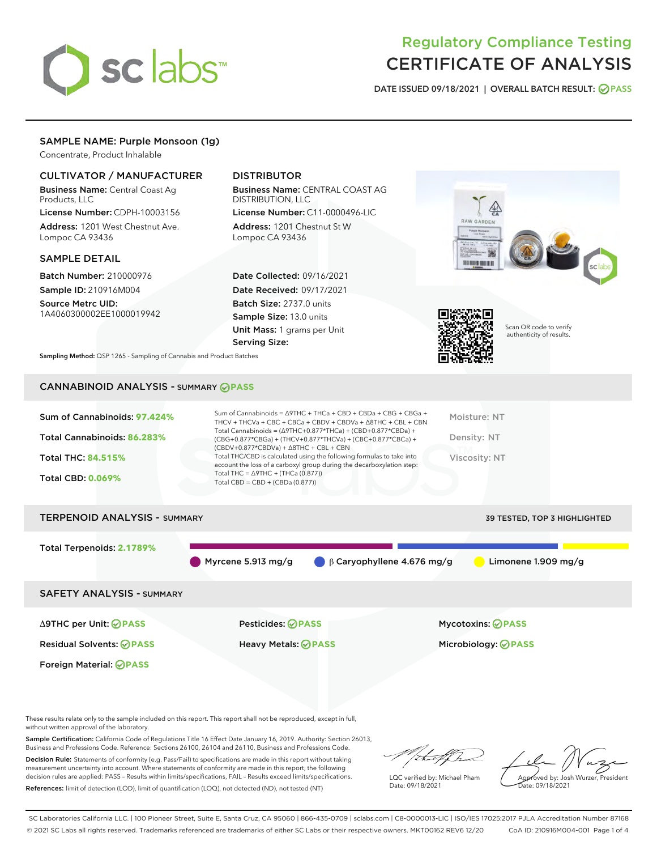

# Regulatory Compliance Testing CERTIFICATE OF ANALYSIS

DATE ISSUED 09/18/2021 | OVERALL BATCH RESULT: @ PASS

# SAMPLE NAME: Purple Monsoon (1g)

Concentrate, Product Inhalable

# CULTIVATOR / MANUFACTURER

Business Name: Central Coast Ag Products, LLC

License Number: CDPH-10003156 Address: 1201 West Chestnut Ave. Lompoc CA 93436

## SAMPLE DETAIL

Batch Number: 210000976 Sample ID: 210916M004

Source Metrc UID: 1A4060300002EE1000019942

# DISTRIBUTOR

Business Name: CENTRAL COAST AG DISTRIBUTION, LLC

License Number: C11-0000496-LIC Address: 1201 Chestnut St W Lompoc CA 93436

Date Collected: 09/16/2021 Date Received: 09/17/2021 Batch Size: 2737.0 units Sample Size: 13.0 units Unit Mass: 1 grams per Unit Serving Size:





Scan QR code to verify authenticity of results.

Sampling Method: QSP 1265 - Sampling of Cannabis and Product Batches

# CANNABINOID ANALYSIS - SUMMARY **PASS**

| Sum of Cannabinoids: 97.424% | Sum of Cannabinoids = $\triangle$ 9THC + THCa + CBD + CBDa + CBG + CBGa +<br>THCV + THCVa + CBC + CBCa + CBDV + CBDVa + $\Delta$ 8THC + CBL + CBN                                        | Moisture: NT  |
|------------------------------|------------------------------------------------------------------------------------------------------------------------------------------------------------------------------------------|---------------|
| Total Cannabinoids: 86.283%  | Total Cannabinoids = $(\Delta 9THC + 0.877*THCa) + (CBD + 0.877*CBDa) +$<br>(CBG+0.877*CBGa) + (THCV+0.877*THCVa) + (CBC+0.877*CBCa) +<br>$(CBDV+0.877*CBDVa) + \Delta 8THC + CBL + CBN$ | Density: NT   |
| <b>Total THC: 84.515%</b>    | Total THC/CBD is calculated using the following formulas to take into<br>account the loss of a carboxyl group during the decarboxylation step:                                           | Viscosity: NT |
| <b>Total CBD: 0.069%</b>     | Total THC = $\triangle$ 9THC + (THCa (0.877))<br>Total CBD = $CBD + (CBDa (0.877))$                                                                                                      |               |
|                              |                                                                                                                                                                                          |               |

# TERPENOID ANALYSIS - SUMMARY 39 TESTED, TOP 3 HIGHLIGHTED Total Terpenoids: **2.1789%** Myrcene 5.913 mg/g  $\qquad \qquad \beta$  Caryophyllene 4.676 mg/g Limonene 1.909 mg/g SAFETY ANALYSIS - SUMMARY

Foreign Material: **PASS**

Δ9THC per Unit: **PASS** Pesticides: **PASS** Mycotoxins: **PASS**

Residual Solvents: **PASS** Heavy Metals: **PASS** Microbiology: **PASS**

These results relate only to the sample included on this report. This report shall not be reproduced, except in full, without written approval of the laboratory.

Sample Certification: California Code of Regulations Title 16 Effect Date January 16, 2019. Authority: Section 26013, Business and Professions Code. Reference: Sections 26100, 26104 and 26110, Business and Professions Code. Decision Rule: Statements of conformity (e.g. Pass/Fail) to specifications are made in this report without taking

measurement uncertainty into account. Where statements of conformity are made in this report, the following decision rules are applied: PASS – Results within limits/specifications, FAIL – Results exceed limits/specifications. References: limit of detection (LOD), limit of quantification (LOQ), not detected (ND), not tested (NT)

that for

LQC verified by: Michael Pham Date: 09/18/2021

Approved by: Josh Wurzer, President ate: 09/18/2021

SC Laboratories California LLC. | 100 Pioneer Street, Suite E, Santa Cruz, CA 95060 | 866-435-0709 | sclabs.com | C8-0000013-LIC | ISO/IES 17025:2017 PJLA Accreditation Number 87168 © 2021 SC Labs all rights reserved. Trademarks referenced are trademarks of either SC Labs or their respective owners. MKT00162 REV6 12/20 CoA ID: 210916M004-001 Page 1 of 4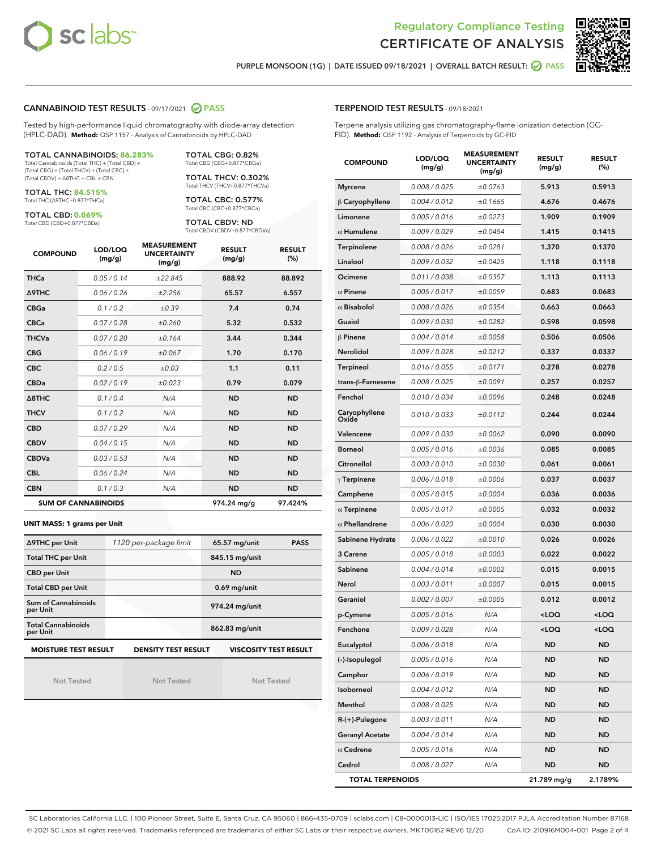



п

PURPLE MONSOON (1G) | DATE ISSUED 09/18/2021 | OVERALL BATCH RESULT: @ PASS

## CANNABINOID TEST RESULTS - 09/17/2021 2 PASS

Tested by high-performance liquid chromatography with diode-array detection (HPLC-DAD). **Method:** QSP 1157 - Analysis of Cannabinoids by HPLC-DAD

#### TOTAL CANNABINOIDS: **86.283%** Total Cannabinoids (Total THC) + (Total CBD) +

(Total CBG) + (Total THCV) + (Total CBC) + (Total CBDV) + ∆8THC + CBL + CBN

TOTAL THC: **84.515%** Total THC (∆9THC+0.877\*THCa)

TOTAL CBD: **0.069%**

Total CBD (CBD+0.877\*CBDa)

TOTAL CBG: 0.82% Total CBG (CBG+0.877\*CBGa)

TOTAL THCV: 0.302% Total THCV (THCV+0.877\*THCVa)

TOTAL CBC: 0.577% Total CBC (CBC+0.877\*CBCa)

TOTAL CBDV: ND Total CBDV (CBDV+0.877\*CBDVa)

| <b>COMPOUND</b>  | LOD/LOQ<br>(mg/g)          | <b>MEASUREMENT</b><br><b>UNCERTAINTY</b><br>(mg/g) | <b>RESULT</b><br>(mg/g) | <b>RESULT</b><br>(%) |
|------------------|----------------------------|----------------------------------------------------|-------------------------|----------------------|
| <b>THCa</b>      | 0.05/0.14                  | ±22.845                                            | 888.92                  | 88.892               |
| <b>A9THC</b>     | 0.06 / 0.26                | ±2.256                                             | 65.57                   | 6.557                |
| <b>CBGa</b>      | 0.1/0.2                    | ±0.39                                              | 7.4                     | 0.74                 |
| <b>CBCa</b>      | 0.07 / 0.28                | ±0.260                                             | 5.32                    | 0.532                |
| <b>THCVa</b>     | 0.07/0.20                  | ±0.164                                             | 3.44                    | 0.344                |
| <b>CBG</b>       | 0.06/0.19                  | ±0.067                                             | 1.70                    | 0.170                |
| <b>CBC</b>       | 0.2 / 0.5                  | ±0.03                                              | 1.1                     | 0.11                 |
| <b>CBDa</b>      | 0.02/0.19                  | ±0.023                                             | 0.79                    | 0.079                |
| $\triangle$ 8THC | 0.1/0.4                    | N/A                                                | <b>ND</b>               | <b>ND</b>            |
| <b>THCV</b>      | 0.1/0.2                    | N/A                                                | <b>ND</b>               | <b>ND</b>            |
| <b>CBD</b>       | 0.07/0.29                  | N/A                                                | <b>ND</b>               | <b>ND</b>            |
| <b>CBDV</b>      | 0.04 / 0.15                | N/A                                                | <b>ND</b>               | <b>ND</b>            |
| <b>CBDVa</b>     | 0.03/0.53                  | N/A                                                | <b>ND</b>               | <b>ND</b>            |
| <b>CBL</b>       | 0.06 / 0.24                | N/A                                                | <b>ND</b>               | <b>ND</b>            |
| <b>CBN</b>       | 0.1/0.3                    | N/A                                                | <b>ND</b>               | <b>ND</b>            |
|                  | <b>SUM OF CANNABINOIDS</b> |                                                    | 974.24 mg/g             | 97.424%              |

#### **UNIT MASS: 1 grams per Unit**

| ∆9THC per Unit                        | 1120 per-package limit     | 65.57 mg/unit<br><b>PASS</b> |
|---------------------------------------|----------------------------|------------------------------|
| <b>Total THC per Unit</b>             |                            | 845.15 mg/unit               |
| <b>CBD per Unit</b>                   |                            | <b>ND</b>                    |
| <b>Total CBD per Unit</b>             |                            | $0.69$ mg/unit               |
| Sum of Cannabinoids<br>per Unit       |                            | 974.24 mg/unit               |
| <b>Total Cannabinoids</b><br>per Unit |                            | 862.83 mg/unit               |
| <b>MOISTURE TEST RESULT</b>           | <b>DENSITY TEST RESULT</b> | <b>VISCOSITY TEST RESULT</b> |

Not Tested

Not Tested

Not Tested

#### TERPENOID TEST RESULTS - 09/18/2021

Terpene analysis utilizing gas chromatography-flame ionization detection (GC-FID). **Method:** QSP 1192 - Analysis of Terpenoids by GC-FID

| <b>COMPOUND</b>         | LOD/LOQ<br>(mg/g) | <b>MEASUREMENT</b><br><b>UNCERTAINTY</b><br>(mg/g) | <b>RESULT</b><br>(mg/g)                         | <b>RESULT</b><br>$(\%)$ |
|-------------------------|-------------------|----------------------------------------------------|-------------------------------------------------|-------------------------|
| <b>Myrcene</b>          | 0.008 / 0.025     | ±0.0763                                            | 5.913                                           | 0.5913                  |
| $\beta$ Caryophyllene   | 0.004 / 0.012     | ±0.1665                                            | 4.676                                           | 0.4676                  |
| Limonene                | 0.005 / 0.016     | ±0.0273                                            | 1.909                                           | 0.1909                  |
| $\alpha$ Humulene       | 0.009 / 0.029     | ±0.0454                                            | 1.415                                           | 0.1415                  |
| Terpinolene             | 0.008 / 0.026     | ±0.0281                                            | 1.370                                           | 0.1370                  |
| Linalool                | 0.009 / 0.032     | ±0.0425                                            | 1.118                                           | 0.1118                  |
| Ocimene                 | 0.011 / 0.038     | ±0.0357                                            | 1.113                                           | 0.1113                  |
| $\alpha$ Pinene         | 0.005 / 0.017     | ±0.0059                                            | 0.683                                           | 0.0683                  |
| $\alpha$ Bisabolol      | 0.008 / 0.026     | ±0.0354                                            | 0.663                                           | 0.0663                  |
| Guaiol                  | 0.009 / 0.030     | ±0.0282                                            | 0.598                                           | 0.0598                  |
| $\beta$ Pinene          | 0.004 / 0.014     | ±0.0058                                            | 0.506                                           | 0.0506                  |
| Nerolidol               | 0.009 / 0.028     | ±0.0212                                            | 0.337                                           | 0.0337                  |
| Terpineol               | 0.016 / 0.055     | ±0.0171                                            | 0.278                                           | 0.0278                  |
| trans-β-Farnesene       | 0.008 / 0.025     | ±0.0091                                            | 0.257                                           | 0.0257                  |
| Fenchol                 | 0.010 / 0.034     | ±0.0096                                            | 0.248                                           | 0.0248                  |
| Caryophyllene<br>Oxide  | 0.010 / 0.033     | ±0.0112                                            | 0.244                                           | 0.0244                  |
| Valencene               | 0.009 / 0.030     | ±0.0062                                            | 0.090                                           | 0.0090                  |
| <b>Borneol</b>          | 0.005 / 0.016     | ±0.0036                                            | 0.085                                           | 0.0085                  |
| Citronellol             | 0.003 / 0.010     | ±0.0030                                            | 0.061                                           | 0.0061                  |
| $\gamma$ Terpinene      | 0.006 / 0.018     | ±0.0006                                            | 0.037                                           | 0.0037                  |
| Camphene                | 0.005 / 0.015     | ±0.0004                                            | 0.036                                           | 0.0036                  |
| $\alpha$ Terpinene      | 0.005 / 0.017     | ±0.0005                                            | 0.032                                           | 0.0032                  |
| $\alpha$ Phellandrene   | 0.006 / 0.020     | ±0.0004                                            | 0.030                                           | 0.0030                  |
| Sabinene Hydrate        | 0.006 / 0.022     | ±0.0010                                            | 0.026                                           | 0.0026                  |
| 3 Carene                | 0.005 / 0.018     | ±0.0003                                            | 0.022                                           | 0.0022                  |
| Sabinene                | 0.004 / 0.014     | ±0.0002                                            | 0.015                                           | 0.0015                  |
| Nerol                   | 0.003 / 0.011     | ±0.0007                                            | 0.015                                           | 0.0015                  |
| Geraniol                | 0.002 / 0.007     | ±0.0005                                            | 0.012                                           | 0.0012                  |
| p-Cymene                | 0.005 / 0.016     | N/A                                                | <loq< th=""><th><loq< th=""></loq<></th></loq<> | <loq< th=""></loq<>     |
| Fenchone                | 0.009 / 0.028     | N/A                                                | $\sim$ 00                                       | $\sim$ 00               |
| Eucalyptol              | 0.006 / 0.018     | N/A                                                | <b>ND</b>                                       | <b>ND</b>               |
| (-)-Isopulegol          | 0.005 / 0.016     | N/A                                                | <b>ND</b>                                       | <b>ND</b>               |
| Camphor                 | 0.006 / 0.019     | N/A                                                | <b>ND</b>                                       | ND                      |
| Isoborneol              | 0.004 / 0.012     | N/A                                                | ND                                              | <b>ND</b>               |
| Menthol                 | 0.008 / 0.025     | N/A                                                | ND                                              | ND                      |
| R-(+)-Pulegone          | 0.003 / 0.011     | N/A                                                | <b>ND</b>                                       | ND                      |
| <b>Geranyl Acetate</b>  | 0.004 / 0.014     | N/A                                                | <b>ND</b>                                       | ND                      |
| $\alpha$ Cedrene        | 0.005 / 0.016     | N/A                                                | ND                                              | ND                      |
| Cedrol                  | 0.008 / 0.027     | N/A                                                | ND                                              | <b>ND</b>               |
| <b>TOTAL TERPENOIDS</b> |                   |                                                    | 21.789 mg/g                                     | 2.1789%                 |

SC Laboratories California LLC. | 100 Pioneer Street, Suite E, Santa Cruz, CA 95060 | 866-435-0709 | sclabs.com | C8-0000013-LIC | ISO/IES 17025:2017 PJLA Accreditation Number 87168 © 2021 SC Labs all rights reserved. Trademarks referenced are trademarks of either SC Labs or their respective owners. MKT00162 REV6 12/20 CoA ID: 210916M004-001 Page 2 of 4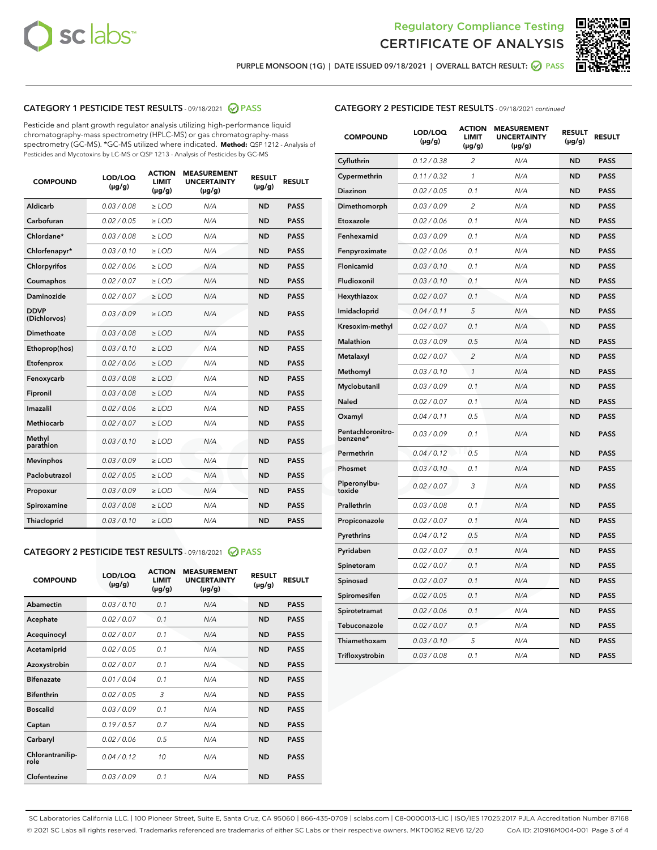



PURPLE MONSOON (1G) | DATE ISSUED 09/18/2021 | OVERALL BATCH RESULT: @ PASS

# CATEGORY 1 PESTICIDE TEST RESULTS - 09/18/2021 @ PASS

Pesticide and plant growth regulator analysis utilizing high-performance liquid chromatography-mass spectrometry (HPLC-MS) or gas chromatography-mass spectrometry (GC-MS). \*GC-MS utilized where indicated. **Method:** QSP 1212 - Analysis of Pesticides and Mycotoxins by LC-MS or QSP 1213 - Analysis of Pesticides by GC-MS

| <b>COMPOUND</b>             | LOD/LOQ<br>$(\mu g/g)$ | <b>ACTION</b><br><b>LIMIT</b><br>$(\mu q/q)$ | <b>MEASUREMENT</b><br><b>UNCERTAINTY</b><br>$(\mu g/g)$ | <b>RESULT</b><br>$(\mu g/g)$ | <b>RESULT</b> |
|-----------------------------|------------------------|----------------------------------------------|---------------------------------------------------------|------------------------------|---------------|
| Aldicarb                    | 0.03 / 0.08            | $\ge$ LOD                                    | N/A                                                     | <b>ND</b>                    | <b>PASS</b>   |
| Carbofuran                  | 0.02 / 0.05            | $\ge$ LOD                                    | N/A                                                     | <b>ND</b>                    | <b>PASS</b>   |
| Chlordane*                  | 0.03 / 0.08            | $\ge$ LOD                                    | N/A                                                     | <b>ND</b>                    | <b>PASS</b>   |
| Chlorfenapyr*               | 0.03/0.10              | $\ge$ LOD                                    | N/A                                                     | <b>ND</b>                    | <b>PASS</b>   |
| Chlorpyrifos                | 0.02 / 0.06            | $\ge$ LOD                                    | N/A                                                     | <b>ND</b>                    | <b>PASS</b>   |
| Coumaphos                   | 0.02 / 0.07            | $\ge$ LOD                                    | N/A                                                     | <b>ND</b>                    | <b>PASS</b>   |
| Daminozide                  | 0.02 / 0.07            | $\ge$ LOD                                    | N/A                                                     | <b>ND</b>                    | <b>PASS</b>   |
| <b>DDVP</b><br>(Dichlorvos) | 0.03/0.09              | $\ge$ LOD                                    | N/A                                                     | <b>ND</b>                    | <b>PASS</b>   |
| Dimethoate                  | 0.03 / 0.08            | $\ge$ LOD                                    | N/A                                                     | <b>ND</b>                    | <b>PASS</b>   |
| Ethoprop(hos)               | 0.03/0.10              | $\ge$ LOD                                    | N/A                                                     | <b>ND</b>                    | <b>PASS</b>   |
| Etofenprox                  | 0.02/0.06              | $>$ LOD                                      | N/A                                                     | <b>ND</b>                    | <b>PASS</b>   |
| Fenoxycarb                  | 0.03 / 0.08            | $\ge$ LOD                                    | N/A                                                     | <b>ND</b>                    | <b>PASS</b>   |
| Fipronil                    | 0.03/0.08              | $>$ LOD                                      | N/A                                                     | <b>ND</b>                    | <b>PASS</b>   |
| Imazalil                    | 0.02 / 0.06            | $\ge$ LOD                                    | N/A                                                     | <b>ND</b>                    | <b>PASS</b>   |
| Methiocarb                  | 0.02 / 0.07            | $\ge$ LOD                                    | N/A                                                     | <b>ND</b>                    | <b>PASS</b>   |
| Methyl<br>parathion         | 0.03/0.10              | $>$ LOD                                      | N/A                                                     | <b>ND</b>                    | <b>PASS</b>   |
| <b>Mevinphos</b>            | 0.03/0.09              | $>$ LOD                                      | N/A                                                     | <b>ND</b>                    | <b>PASS</b>   |
| Paclobutrazol               | 0.02 / 0.05            | $>$ LOD                                      | N/A                                                     | <b>ND</b>                    | <b>PASS</b>   |
| Propoxur                    | 0.03/0.09              | $\ge$ LOD                                    | N/A                                                     | <b>ND</b>                    | <b>PASS</b>   |
| Spiroxamine                 | 0.03 / 0.08            | $\ge$ LOD                                    | N/A                                                     | <b>ND</b>                    | <b>PASS</b>   |
| Thiacloprid                 | 0.03/0.10              | $\ge$ LOD                                    | N/A                                                     | <b>ND</b>                    | <b>PASS</b>   |

# CATEGORY 2 PESTICIDE TEST RESULTS - 09/18/2021 @ PASS

| <b>COMPOUND</b>          | LOD/LOQ<br>$(\mu g/g)$ | <b>ACTION</b><br><b>LIMIT</b><br>$(\mu g/g)$ | <b>MEASUREMENT</b><br><b>UNCERTAINTY</b><br>$(\mu g/g)$ | <b>RESULT</b><br>$(\mu g/g)$ | <b>RESULT</b> |
|--------------------------|------------------------|----------------------------------------------|---------------------------------------------------------|------------------------------|---------------|
| Abamectin                | 0.03/0.10              | 0.1                                          | N/A                                                     | <b>ND</b>                    | <b>PASS</b>   |
| Acephate                 | 0.02/0.07              | 0.1                                          | N/A                                                     | <b>ND</b>                    | <b>PASS</b>   |
| Acequinocyl              | 0.02/0.07              | 0.1                                          | N/A                                                     | <b>ND</b>                    | <b>PASS</b>   |
| Acetamiprid              | 0.02/0.05              | 0.1                                          | N/A                                                     | <b>ND</b>                    | <b>PASS</b>   |
| Azoxystrobin             | 0.02/0.07              | 0.1                                          | N/A                                                     | <b>ND</b>                    | <b>PASS</b>   |
| <b>Bifenazate</b>        | 0.01/0.04              | 0.1                                          | N/A                                                     | <b>ND</b>                    | <b>PASS</b>   |
| <b>Bifenthrin</b>        | 0.02 / 0.05            | 3                                            | N/A                                                     | <b>ND</b>                    | <b>PASS</b>   |
| <b>Boscalid</b>          | 0.03/0.09              | 0.1                                          | N/A                                                     | <b>ND</b>                    | <b>PASS</b>   |
| Captan                   | 0.19/0.57              | 0.7                                          | N/A                                                     | <b>ND</b>                    | <b>PASS</b>   |
| Carbaryl                 | 0.02/0.06              | 0.5                                          | N/A                                                     | <b>ND</b>                    | <b>PASS</b>   |
| Chlorantranilip-<br>role | 0.04/0.12              | 10                                           | N/A                                                     | <b>ND</b>                    | <b>PASS</b>   |
| Clofentezine             | 0.03/0.09              | 0.1                                          | N/A                                                     | <b>ND</b>                    | <b>PASS</b>   |

# CATEGORY 2 PESTICIDE TEST RESULTS - 09/18/2021 continued

| <b>COMPOUND</b>               | LOD/LOQ<br>(µg/g) | <b>ACTION</b><br><b>LIMIT</b><br>$(\mu g/g)$ | <b>MEASUREMENT</b><br><b>UNCERTAINTY</b><br>$(\mu g/g)$ | <b>RESULT</b><br>(µg/g) | <b>RESULT</b> |
|-------------------------------|-------------------|----------------------------------------------|---------------------------------------------------------|-------------------------|---------------|
| Cyfluthrin                    | 0.12 / 0.38       | $\overline{c}$                               | N/A                                                     | <b>ND</b>               | <b>PASS</b>   |
| Cypermethrin                  | 0.11 / 0.32       | 1                                            | N/A                                                     | ND                      | <b>PASS</b>   |
| Diazinon                      | 0.02 / 0.05       | 0.1                                          | N/A                                                     | ND                      | <b>PASS</b>   |
| Dimethomorph                  | 0.03 / 0.09       | 2                                            | N/A                                                     | ND                      | <b>PASS</b>   |
| Etoxazole                     | 0.02 / 0.06       | 0.1                                          | N/A                                                     | <b>ND</b>               | <b>PASS</b>   |
| Fenhexamid                    | 0.03 / 0.09       | 0.1                                          | N/A                                                     | <b>ND</b>               | <b>PASS</b>   |
| Fenpyroximate                 | 0.02 / 0.06       | 0.1                                          | N/A                                                     | ND                      | <b>PASS</b>   |
| Flonicamid                    | 0.03 / 0.10       | 0.1                                          | N/A                                                     | ND                      | <b>PASS</b>   |
| Fludioxonil                   | 0.03 / 0.10       | 0.1                                          | N/A                                                     | <b>ND</b>               | <b>PASS</b>   |
| Hexythiazox                   | 0.02 / 0.07       | 0.1                                          | N/A                                                     | ND                      | <b>PASS</b>   |
| Imidacloprid                  | 0.04 / 0.11       | 5                                            | N/A                                                     | ND                      | <b>PASS</b>   |
| Kresoxim-methyl               | 0.02 / 0.07       | 0.1                                          | N/A                                                     | <b>ND</b>               | <b>PASS</b>   |
| <b>Malathion</b>              | 0.03 / 0.09       | 0.5                                          | N/A                                                     | ND                      | <b>PASS</b>   |
| Metalaxyl                     | 0.02 / 0.07       | $\overline{c}$                               | N/A                                                     | ND                      | <b>PASS</b>   |
| Methomyl                      | 0.03 / 0.10       | 1                                            | N/A                                                     | <b>ND</b>               | <b>PASS</b>   |
| Myclobutanil                  | 0.03 / 0.09       | 0.1                                          | N/A                                                     | ND                      | <b>PASS</b>   |
| Naled                         | 0.02 / 0.07       | 0.1                                          | N/A                                                     | ND                      | <b>PASS</b>   |
| Oxamyl                        | 0.04 / 0.11       | 0.5                                          | N/A                                                     | ND                      | <b>PASS</b>   |
| Pentachloronitro-<br>benzene* | 0.03 / 0.09       | 0.1                                          | N/A                                                     | ND                      | <b>PASS</b>   |
| Permethrin                    | 0.04 / 0.12       | 0.5                                          | N/A                                                     | <b>ND</b>               | <b>PASS</b>   |
| Phosmet                       | 0.03 / 0.10       | 0.1                                          | N/A                                                     | <b>ND</b>               | <b>PASS</b>   |
| Piperonylbu-<br>toxide        | 0.02 / 0.07       | 3                                            | N/A                                                     | ND                      | <b>PASS</b>   |
| Prallethrin                   | 0.03 / 0.08       | 0.1                                          | N/A                                                     | <b>ND</b>               | <b>PASS</b>   |
| Propiconazole                 | 0.02 / 0.07       | 0.1                                          | N/A                                                     | ND                      | <b>PASS</b>   |
| Pyrethrins                    | 0.04 / 0.12       | 0.5                                          | N/A                                                     | ND                      | <b>PASS</b>   |
| Pyridaben                     | 0.02 / 0.07       | 0.1                                          | N/A                                                     | ND                      | <b>PASS</b>   |
| Spinetoram                    | 0.02 / 0.07       | 0.1                                          | N/A                                                     | ND                      | <b>PASS</b>   |
| Spinosad                      | 0.02 / 0.07       | 0.1                                          | N/A                                                     | ND                      | <b>PASS</b>   |
| Spiromesifen                  | 0.02 / 0.05       | 0.1                                          | N/A                                                     | <b>ND</b>               | <b>PASS</b>   |
| Spirotetramat                 | 0.02 / 0.06       | 0.1                                          | N/A                                                     | ND                      | <b>PASS</b>   |
| Tebuconazole                  | 0.02 / 0.07       | 0.1                                          | N/A                                                     | ND                      | <b>PASS</b>   |
| Thiamethoxam                  | 0.03 / 0.10       | 5                                            | N/A                                                     | <b>ND</b>               | <b>PASS</b>   |
| Trifloxystrobin               | 0.03 / 0.08       | 0.1                                          | N/A                                                     | <b>ND</b>               | <b>PASS</b>   |

SC Laboratories California LLC. | 100 Pioneer Street, Suite E, Santa Cruz, CA 95060 | 866-435-0709 | sclabs.com | C8-0000013-LIC | ISO/IES 17025:2017 PJLA Accreditation Number 87168 © 2021 SC Labs all rights reserved. Trademarks referenced are trademarks of either SC Labs or their respective owners. MKT00162 REV6 12/20 CoA ID: 210916M004-001 Page 3 of 4